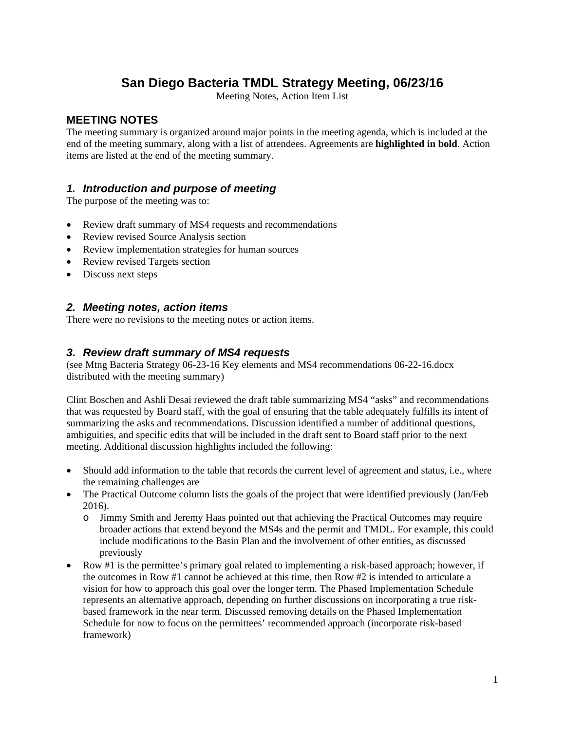### **San Diego Bacteria TMDL Strategy Meeting, 06/23/16**

Meeting Notes, Action Item List

#### **MEETING NOTES**

The meeting summary is organized around major points in the meeting agenda, which is included at the end of the meeting summary, along with a list of attendees. Agreements are **highlighted in bold**. Action items are listed at the end of the meeting summary.

#### *1. Introduction and purpose of meeting*

The purpose of the meeting was to:

- Review draft summary of MS4 requests and recommendations
- Review revised Source Analysis section
- Review implementation strategies for human sources
- Review revised Targets section
- Discuss next steps

#### *2. Meeting notes, action items*

There were no revisions to the meeting notes or action items.

#### *3. Review draft summary of MS4 requests*

(see Mtng Bacteria Strategy 06-23-16 Key elements and MS4 recommendations 06-22-16.docx distributed with the meeting summary)

Clint Boschen and Ashli Desai reviewed the draft table summarizing MS4 "asks" and recommendations that was requested by Board staff, with the goal of ensuring that the table adequately fulfills its intent of summarizing the asks and recommendations. Discussion identified a number of additional questions, ambiguities, and specific edits that will be included in the draft sent to Board staff prior to the next meeting. Additional discussion highlights included the following:

- Should add information to the table that records the current level of agreement and status, i.e., where the remaining challenges are
- The Practical Outcome column lists the goals of the project that were identified previously (Jan/Feb 2016).
	- o Jimmy Smith and Jeremy Haas pointed out that achieving the Practical Outcomes may require broader actions that extend beyond the MS4s and the permit and TMDL. For example, this could include modifications to the Basin Plan and the involvement of other entities, as discussed previously
- Row #1 is the permittee's primary goal related to implementing a risk-based approach; however, if the outcomes in Row #1 cannot be achieved at this time, then Row #2 is intended to articulate a vision for how to approach this goal over the longer term. The Phased Implementation Schedule represents an alternative approach, depending on further discussions on incorporating a true riskbased framework in the near term. Discussed removing details on the Phased Implementation Schedule for now to focus on the permittees' recommended approach (incorporate risk-based framework)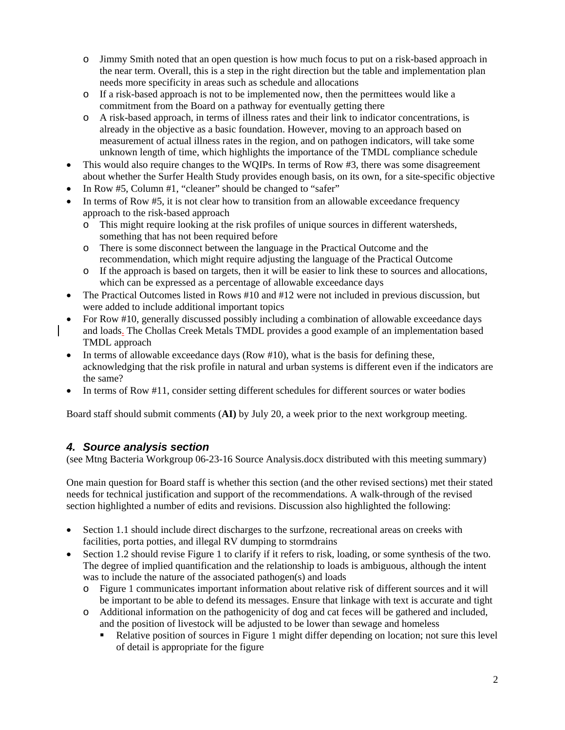- o Jimmy Smith noted that an open question is how much focus to put on a risk-based approach in the near term. Overall, this is a step in the right direction but the table and implementation plan needs more specificity in areas such as schedule and allocations
- o If a risk-based approach is not to be implemented now, then the permittees would like a commitment from the Board on a pathway for eventually getting there
- o A risk-based approach, in terms of illness rates and their link to indicator concentrations, is already in the objective as a basic foundation. However, moving to an approach based on measurement of actual illness rates in the region, and on pathogen indicators, will take some unknown length of time, which highlights the importance of the TMDL compliance schedule
- This would also require changes to the WOIPs. In terms of Row #3, there was some disagreement about whether the Surfer Health Study provides enough basis, on its own, for a site-specific objective
- In Row #5, Column #1, "cleaner" should be changed to "safer"
- In terms of Row #5, it is not clear how to transition from an allowable exceedance frequency approach to the risk-based approach
	- o This might require looking at the risk profiles of unique sources in different watersheds, something that has not been required before
	- o There is some disconnect between the language in the Practical Outcome and the recommendation, which might require adjusting the language of the Practical Outcome
	- o If the approach is based on targets, then it will be easier to link these to sources and allocations, which can be expressed as a percentage of allowable exceedance days
- The Practical Outcomes listed in Rows #10 and #12 were not included in previous discussion, but were added to include additional important topics
- For Row #10, generally discussed possibly including a combination of allowable exceedance days and loads. The Chollas Creek Metals TMDL provides a good example of an implementation based TMDL approach
- In terms of allowable exceedance days (Row #10), what is the basis for defining these, acknowledging that the risk profile in natural and urban systems is different even if the indicators are the same?
- In terms of Row #11, consider setting different schedules for different sources or water bodies

Board staff should submit comments (**AI)** by July 20, a week prior to the next workgroup meeting.

#### *4. Source analysis section*

(see Mtng Bacteria Workgroup 06-23-16 Source Analysis.docx distributed with this meeting summary)

One main question for Board staff is whether this section (and the other revised sections) met their stated needs for technical justification and support of the recommendations. A walk-through of the revised section highlighted a number of edits and revisions. Discussion also highlighted the following:

- Section 1.1 should include direct discharges to the surfzone, recreational areas on creeks with facilities, porta potties, and illegal RV dumping to stormdrains
- Section 1.2 should revise Figure 1 to clarify if it refers to risk, loading, or some synthesis of the two. The degree of implied quantification and the relationship to loads is ambiguous, although the intent was to include the nature of the associated pathogen(s) and loads
	- o Figure 1 communicates important information about relative risk of different sources and it will be important to be able to defend its messages. Ensure that linkage with text is accurate and tight
	- o Additional information on the pathogenicity of dog and cat feces will be gathered and included, and the position of livestock will be adjusted to be lower than sewage and homeless
		- Relative position of sources in Figure 1 might differ depending on location; not sure this level of detail is appropriate for the figure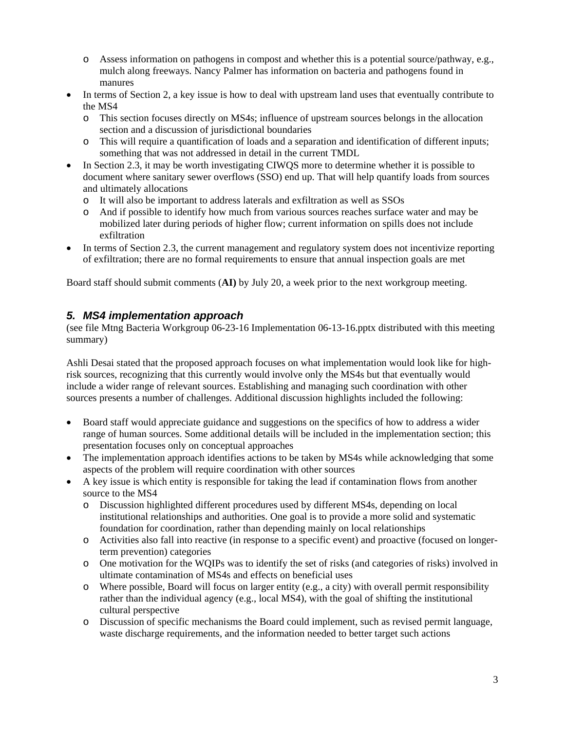- o Assess information on pathogens in compost and whether this is a potential source/pathway, e.g., mulch along freeways. Nancy Palmer has information on bacteria and pathogens found in manures
- In terms of Section 2, a key issue is how to deal with upstream land uses that eventually contribute to the MS4
	- o This section focuses directly on MS4s; influence of upstream sources belongs in the allocation section and a discussion of jurisdictional boundaries
	- o This will require a quantification of loads and a separation and identification of different inputs; something that was not addressed in detail in the current TMDL
- In Section 2.3, it may be worth investigating CIWQS more to determine whether it is possible to document where sanitary sewer overflows (SSO) end up. That will help quantify loads from sources and ultimately allocations
	- o It will also be important to address laterals and exfiltration as well as SSOs
	- o And if possible to identify how much from various sources reaches surface water and may be mobilized later during periods of higher flow; current information on spills does not include exfiltration
- In terms of Section 2.3, the current management and regulatory system does not incentivize reporting of exfiltration; there are no formal requirements to ensure that annual inspection goals are met

Board staff should submit comments (**AI)** by July 20, a week prior to the next workgroup meeting.

#### *5. MS4 implementation approach*

(see file Mtng Bacteria Workgroup 06-23-16 Implementation 06-13-16.pptx distributed with this meeting summary)

Ashli Desai stated that the proposed approach focuses on what implementation would look like for highrisk sources, recognizing that this currently would involve only the MS4s but that eventually would include a wider range of relevant sources. Establishing and managing such coordination with other sources presents a number of challenges. Additional discussion highlights included the following:

- Board staff would appreciate guidance and suggestions on the specifics of how to address a wider range of human sources. Some additional details will be included in the implementation section; this presentation focuses only on conceptual approaches
- The implementation approach identifies actions to be taken by MS4s while acknowledging that some aspects of the problem will require coordination with other sources
- A key issue is which entity is responsible for taking the lead if contamination flows from another source to the MS4
	- o Discussion highlighted different procedures used by different MS4s, depending on local institutional relationships and authorities. One goal is to provide a more solid and systematic foundation for coordination, rather than depending mainly on local relationships
	- o Activities also fall into reactive (in response to a specific event) and proactive (focused on longerterm prevention) categories
	- o One motivation for the WQIPs was to identify the set of risks (and categories of risks) involved in ultimate contamination of MS4s and effects on beneficial uses
	- o Where possible, Board will focus on larger entity (e.g., a city) with overall permit responsibility rather than the individual agency (e.g., local MS4), with the goal of shifting the institutional cultural perspective
	- o Discussion of specific mechanisms the Board could implement, such as revised permit language, waste discharge requirements, and the information needed to better target such actions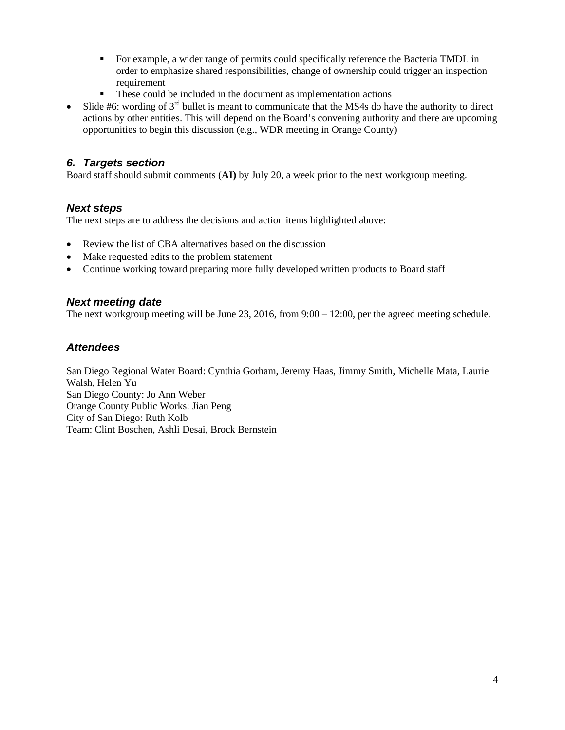- For example, a wider range of permits could specifically reference the Bacteria TMDL in order to emphasize shared responsibilities, change of ownership could trigger an inspection requirement
- These could be included in the document as implementation actions
- Slide #6: wording of  $3<sup>rd</sup>$  bullet is meant to communicate that the MS4s do have the authority to direct actions by other entities. This will depend on the Board's convening authority and there are upcoming opportunities to begin this discussion (e.g., WDR meeting in Orange County)

#### *6. Targets section*

Board staff should submit comments (**AI)** by July 20, a week prior to the next workgroup meeting.

#### *Next steps*

The next steps are to address the decisions and action items highlighted above:

- Review the list of CBA alternatives based on the discussion
- Make requested edits to the problem statement
- Continue working toward preparing more fully developed written products to Board staff

#### *Next meeting date*

The next workgroup meeting will be June 23, 2016, from 9:00 – 12:00, per the agreed meeting schedule.

#### *Attendees*

San Diego Regional Water Board: Cynthia Gorham, Jeremy Haas, Jimmy Smith, Michelle Mata, Laurie Walsh, Helen Yu San Diego County: Jo Ann Weber Orange County Public Works: Jian Peng City of San Diego: Ruth Kolb Team: Clint Boschen, Ashli Desai, Brock Bernstein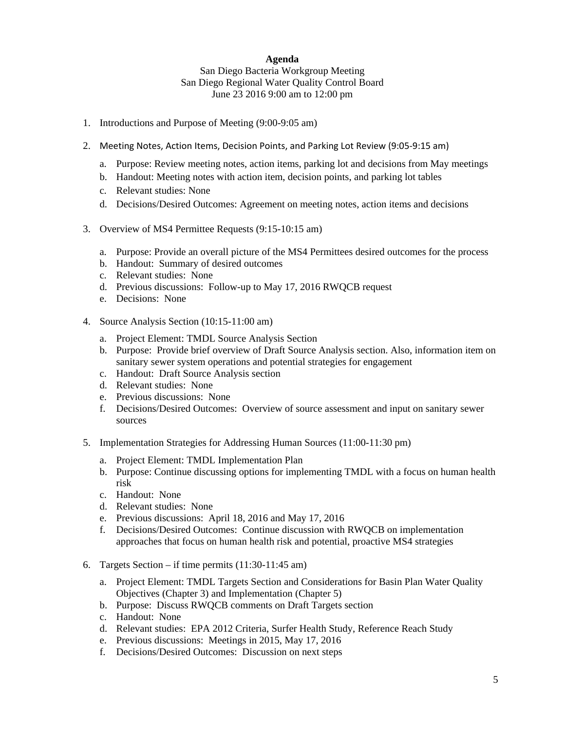#### **Agenda**  San Diego Bacteria Workgroup Meeting San Diego Regional Water Quality Control Board June 23 2016 9:00 am to 12:00 pm

- 1. Introductions and Purpose of Meeting (9:00-9:05 am)
- 2. Meeting Notes, Action Items, Decision Points, and Parking Lot Review (9:05‐9:15 am)
	- a. Purpose: Review meeting notes, action items, parking lot and decisions from May meetings
	- b. Handout: Meeting notes with action item, decision points, and parking lot tables
	- c. Relevant studies: None
	- d. Decisions/Desired Outcomes: Agreement on meeting notes, action items and decisions
- 3. Overview of MS4 Permittee Requests (9:15-10:15 am)
	- a. Purpose: Provide an overall picture of the MS4 Permittees desired outcomes for the process
	- b. Handout: Summary of desired outcomes
	- c. Relevant studies: None
	- d. Previous discussions: Follow-up to May 17, 2016 RWQCB request
	- e. Decisions: None
- 4. Source Analysis Section (10:15-11:00 am)
	- a. Project Element: TMDL Source Analysis Section
	- b. Purpose: Provide brief overview of Draft Source Analysis section. Also, information item on sanitary sewer system operations and potential strategies for engagement
	- c. Handout: Draft Source Analysis section
	- d. Relevant studies: None
	- e. Previous discussions: None
	- f. Decisions/Desired Outcomes: Overview of source assessment and input on sanitary sewer sources
- 5. Implementation Strategies for Addressing Human Sources (11:00-11:30 pm)
	- a. Project Element: TMDL Implementation Plan
	- b. Purpose: Continue discussing options for implementing TMDL with a focus on human health risk
	- c. Handout: None
	- d. Relevant studies: None
	- e. Previous discussions: April 18, 2016 and May 17, 2016
	- f. Decisions/Desired Outcomes: Continue discussion with RWQCB on implementation approaches that focus on human health risk and potential, proactive MS4 strategies
- 6. Targets Section if time permits (11:30-11:45 am)
	- a. Project Element: TMDL Targets Section and Considerations for Basin Plan Water Quality Objectives (Chapter 3) and Implementation (Chapter 5)
	- b. Purpose: Discuss RWQCB comments on Draft Targets section
	- c. Handout: None
	- d. Relevant studies: EPA 2012 Criteria, Surfer Health Study, Reference Reach Study
	- e. Previous discussions: Meetings in 2015, May 17, 2016
	- f. Decisions/Desired Outcomes: Discussion on next steps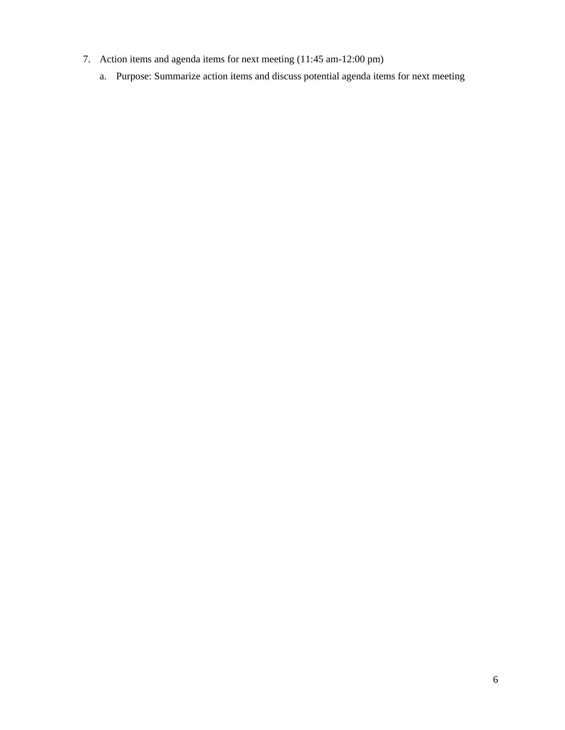- 7. Action items and agenda items for next meeting (11:45 am-12:00 pm)
	- a. Purpose: Summarize action items and discuss potential agenda items for next meeting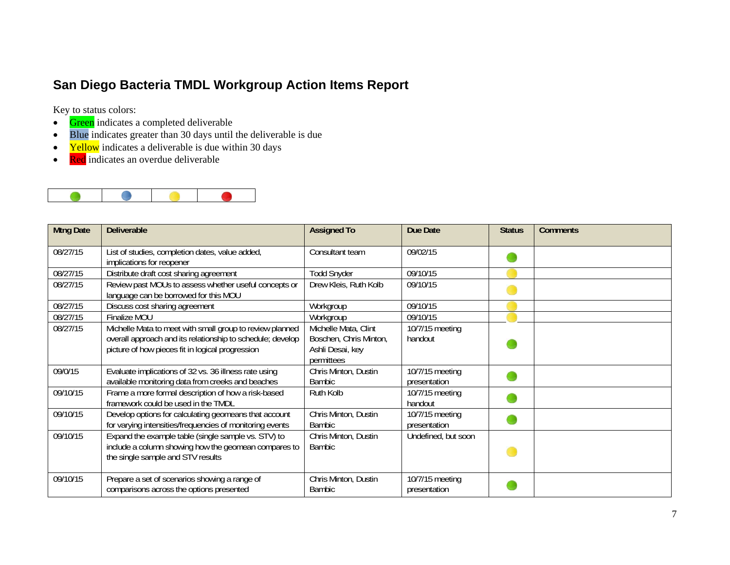### **San Diego Bacteria TMDL Workgroup Action Items Report**

Key to status colors:

- $\bullet$ Green indicates a completed deliverable
- Blue indicates greater than 30 days until the deliverable is due
- $\bullet$ Yellow indicates a deliverable is due within 30 days
- $\bullet$ Red indicates an overdue deliverable



| <b>Mtng Date</b> | <b>Deliverable</b>                                                                                                                                                         | <b>Assigned To</b>                                                               | <b>Due Date</b>                 | <b>Status</b> | <b>Comments</b> |
|------------------|----------------------------------------------------------------------------------------------------------------------------------------------------------------------------|----------------------------------------------------------------------------------|---------------------------------|---------------|-----------------|
| 08/27/15         | List of studies, completion dates, value added,<br>implications for reopener                                                                                               | Consultant team                                                                  | 09/02/15                        |               |                 |
| 08/27/15         | Distribute draft cost sharing agreement                                                                                                                                    | <b>Todd Snyder</b>                                                               | 09/10/15                        |               |                 |
| 08/27/15         | Review past MOUs to assess whether useful concepts or<br>language can be borrowed for this MOU                                                                             | Drew Kleis, Ruth Kolb                                                            | 09/10/15                        |               |                 |
| 08/27/15         | Discuss cost sharing agreement                                                                                                                                             | Workgroup                                                                        | 09/10/15                        |               |                 |
| 08/27/15         | Finalize MOU                                                                                                                                                               | Workgroup                                                                        | 09/10/15                        |               |                 |
| 08/27/15         | Michelle Mata to meet with small group to review planned<br>overall approach and its relationship to schedule; develop<br>picture of how pieces fit in logical progression | Michelle Mata, Clint<br>Boschen, Chris Minton,<br>Ashli Desai, key<br>permittees | 10/7/15 meeting<br>handout      |               |                 |
| 09/0/15          | Evaluate implications of 32 vs. 36 illness rate using<br>available monitoring data from creeks and beaches                                                                 | Chris Minton, Dustin<br>Bambic                                                   | 10/7/15 meeting<br>presentation |               |                 |
| 09/10/15         | Frame a more formal description of how a risk-based<br>framework could be used in the TMDL                                                                                 | Ruth Kolb                                                                        | 10/7/15 meeting<br>handout      |               |                 |
| 09/10/15         | Develop options for calculating geomeans that account<br>for varying intensities/frequencies of monitoring events                                                          | Chris Minton, Dustin<br><b>Bambic</b>                                            | 10/7/15 meeting<br>presentation |               |                 |
| 09/10/15         | Expand the example table (single sample vs. STV) to<br>include a column showing how the geomean compares to<br>the single sample and STV results                           | Chris Minton, Dustin<br>Bambic                                                   | Undefined, but soon             |               |                 |
| 09/10/15         | Prepare a set of scenarios showing a range of<br>comparisons across the options presented                                                                                  | Chris Minton, Dustin<br><b>Bambic</b>                                            | 10/7/15 meeting<br>presentation |               |                 |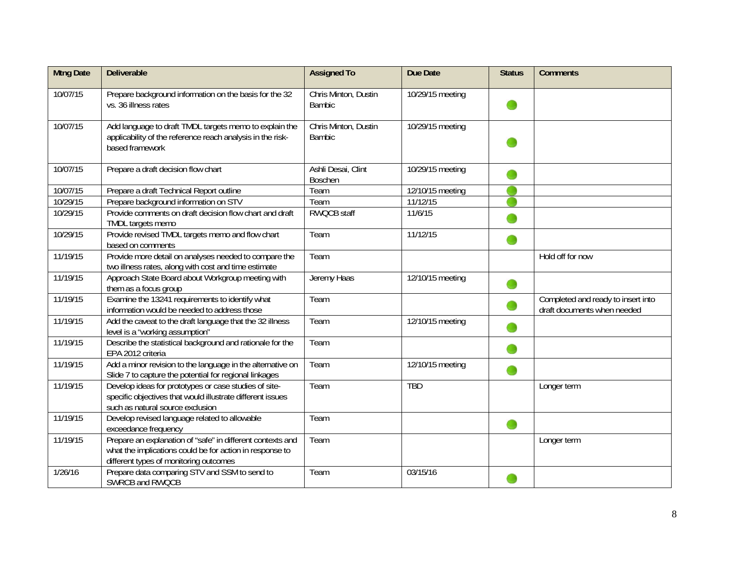| <b>Mtng Date</b> | <b>Deliverable</b>                                                                                                                                               | <b>Assigned To</b>                    | Due Date                      | <b>Status</b> | <b>Comments</b>                                                   |
|------------------|------------------------------------------------------------------------------------------------------------------------------------------------------------------|---------------------------------------|-------------------------------|---------------|-------------------------------------------------------------------|
| 10/07/15         | Prepare background information on the basis for the 32<br>vs. 36 illness rates                                                                                   | Chris Minton, Dustin<br><b>Bambic</b> | 10/29/15 meeting              |               |                                                                   |
| 10/07/15         | Add language to draft TMDL targets memo to explain the<br>applicability of the reference reach analysis in the risk-<br>based framework                          | Chris Minton, Dustin<br><b>Bambic</b> | 10/29/15 meeting              |               |                                                                   |
| 10/07/15         | Prepare a draft decision flow chart                                                                                                                              | Ashli Desai, Clint<br><b>Boschen</b>  | 10/29/15 meeting              |               |                                                                   |
| 10/07/15         | Prepare a draft Technical Report outline                                                                                                                         | Team                                  | 12/10/15 meeting              |               |                                                                   |
| 10/29/15         | Prepare background information on STV                                                                                                                            | Team                                  | 11/12/15                      |               |                                                                   |
| 10/29/15         | Provide comments on draft decision flow chart and draft<br>TMDL targets memo                                                                                     | <b>RWQCB staff</b>                    | 11/6/15                       |               |                                                                   |
| 10/29/15         | Provide revised TMDL targets memo and flow chart<br>based on comments                                                                                            | Team                                  | 11/12/15                      |               |                                                                   |
| 11/19/15         | Provide more detail on analyses needed to compare the<br>two illness rates, along with cost and time estimate                                                    | Team                                  |                               |               | Hold off for now                                                  |
| 11/19/15         | Approach State Board about Workgroup meeting with<br>them as a focus group                                                                                       | Jeremy Haas                           | 12/10/15 meeting              | œ             |                                                                   |
| 11/19/15         | Examine the 13241 requirements to identify what<br>information would be needed to address those                                                                  | Team                                  |                               |               | Completed and ready to insert into<br>draft documents when needed |
| 11/19/15         | Add the caveat to the draft language that the 32 illness<br>level is a "working assumption"                                                                      | Team                                  | $\overline{12}/10/15$ meeting |               |                                                                   |
| 11/19/15         | Describe the statistical background and rationale for the<br>EPA 2012 criteria                                                                                   | Team                                  |                               | œ             |                                                                   |
| 11/19/15         | Add a minor revision to the language in the alternative on<br>Slide 7 to capture the potential for regional linkages                                             | Team                                  | 12/10/15 meeting              | œ             |                                                                   |
| 11/19/15         | Develop ideas for prototypes or case studies of site-<br>specific objectives that would illustrate different issues<br>such as natural source exclusion          | Team                                  | <b>TBD</b>                    |               | Longer term                                                       |
| 11/19/15         | Develop revised language related to allowable<br>exceedance frequency                                                                                            | Team                                  |                               | œ             |                                                                   |
| 11/19/15         | Prepare an explanation of "safe" in different contexts and<br>what the implications could be for action in response to<br>different types of monitoring outcomes | Team                                  |                               |               | Longer term                                                       |
| 1/26/16          | Prepare data comparing STV and SSM to send to<br>SWRCB and RWQCB                                                                                                 | Team                                  | 03/15/16                      |               |                                                                   |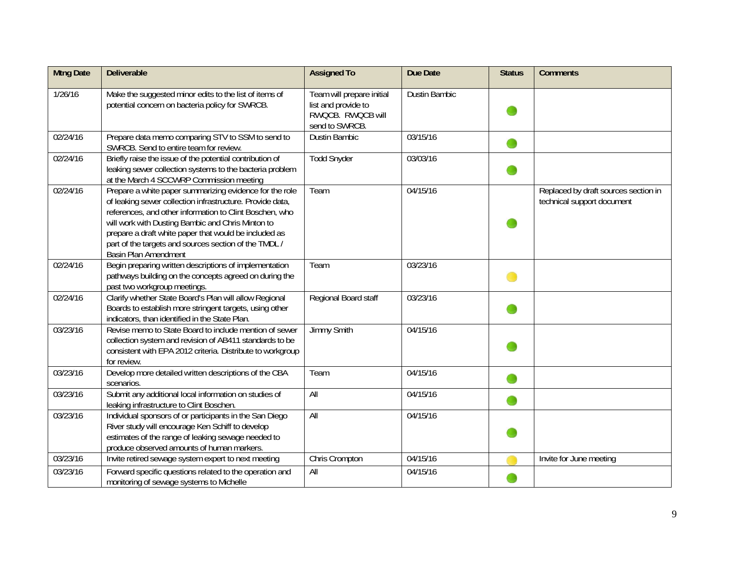| <b>Mtng Date</b> | <b>Deliverable</b>                                                                                                                                                                                                                                                                                                                                                             | <b>Assigned To</b>                                                                      | Due Date             | <b>Status</b> | <b>Comments</b>                                                    |
|------------------|--------------------------------------------------------------------------------------------------------------------------------------------------------------------------------------------------------------------------------------------------------------------------------------------------------------------------------------------------------------------------------|-----------------------------------------------------------------------------------------|----------------------|---------------|--------------------------------------------------------------------|
| 1/26/16          | Make the suggested minor edits to the list of items of<br>potential concern on bacteria policy for SWRCB.                                                                                                                                                                                                                                                                      | Team will prepare initial<br>list and provide to<br>RWQCB. RWQCB will<br>send to SWRCB. | <b>Dustin Bambic</b> |               |                                                                    |
| 02/24/16         | Prepare data memo comparing STV to SSM to send to<br>SWRCB. Send to entire team for review.                                                                                                                                                                                                                                                                                    | <b>Dustin Bambic</b>                                                                    | 03/15/16             |               |                                                                    |
| 02/24/16         | Briefly raise the issue of the potential contribution of<br>leaking sewer collection systems to the bacteria problem<br>at the March 4 SCCWRP Commission meeting                                                                                                                                                                                                               | <b>Todd Snyder</b>                                                                      | 03/03/16             |               |                                                                    |
| 02/24/16         | Prepare a white paper summarizing evidence for the role<br>of leaking sewer collection infrastructure. Provide data,<br>references, and other information to Clint Boschen, who<br>will work with Dusting Bambic and Chris Minton to<br>prepare a draft white paper that would be included as<br>part of the targets and sources section of the TMDL /<br>Basin Plan Amendment | Team                                                                                    | 04/15/16             |               | Replaced by draft sources section in<br>technical support document |
| 02/24/16         | Begin preparing written descriptions of implementation<br>pathways building on the concepts agreed on during the<br>past two workgroup meetings.                                                                                                                                                                                                                               | Team                                                                                    | 03/23/16             |               |                                                                    |
| 02/24/16         | Clarify whether State Board's Plan will allow Regional<br>Boards to establish more stringent targets, using other<br>indicators, than identified in the State Plan.                                                                                                                                                                                                            | Regional Board staff                                                                    | 03/23/16             |               |                                                                    |
| 03/23/16         | Revise memo to State Board to include mention of sewer<br>collection system and revision of AB411 standards to be<br>consistent with EPA 2012 criteria. Distribute to workgroup<br>for review.                                                                                                                                                                                 | Jimmy Smith                                                                             | 04/15/16             |               |                                                                    |
| 03/23/16         | Develop more detailed written descriptions of the CBA<br>scenarios.                                                                                                                                                                                                                                                                                                            | Team                                                                                    | 04/15/16             |               |                                                                    |
| 03/23/16         | Submit any additional local information on studies of<br>leaking infrastructure to Clint Boschen.                                                                                                                                                                                                                                                                              | All                                                                                     | 04/15/16             |               |                                                                    |
| 03/23/16         | Individual sponsors of or participants in the San Diego<br>River study will encourage Ken Schiff to develop<br>estimates of the range of leaking sewage needed to<br>produce observed amounts of human markers.                                                                                                                                                                | All                                                                                     | 04/15/16             |               |                                                                    |
| 03/23/16         | Invite retired sewage system expert to next meeting                                                                                                                                                                                                                                                                                                                            | Chris Crompton                                                                          | 04/15/16             |               | Invite for June meeting                                            |
| 03/23/16         | Forward specific questions related to the operation and<br>monitoring of sewage systems to Michelle                                                                                                                                                                                                                                                                            | All                                                                                     | 04/15/16             |               |                                                                    |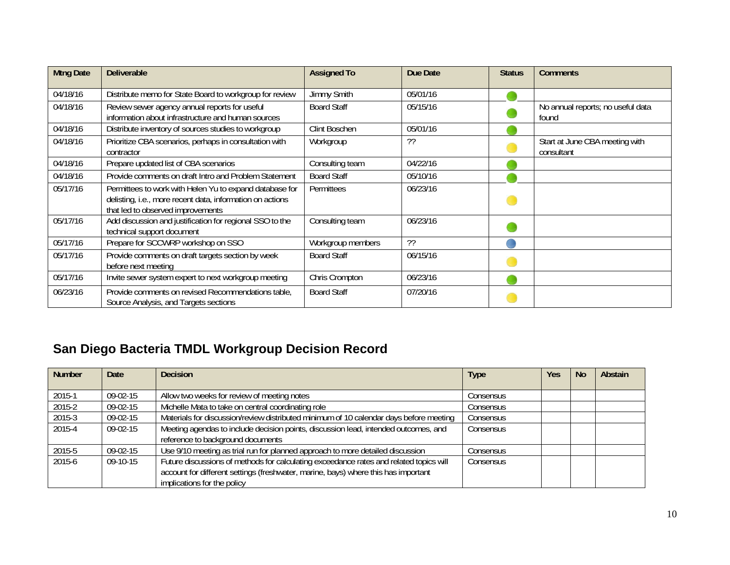| <b>Mtng Date</b> | <b>Deliverable</b>                                                                                                                                        | <b>Assigned To</b> | Due Date | <b>Status</b> | <b>Comments</b>                              |
|------------------|-----------------------------------------------------------------------------------------------------------------------------------------------------------|--------------------|----------|---------------|----------------------------------------------|
| 04/18/16         | Distribute memo for State Board to workgroup for review                                                                                                   | Jimmy Smith        | 05/01/16 |               |                                              |
| 04/18/16         | Review sewer agency annual reports for useful<br>information about infrastructure and human sources                                                       | <b>Board Staff</b> | 05/15/16 |               | No annual reports; no useful data<br>found   |
| 04/18/16         | Distribute inventory of sources studies to workgroup                                                                                                      | Clint Boschen      | 05/01/16 |               |                                              |
| 04/18/16         | Prioritize CBA scenarios, perhaps in consultation with<br>contractor                                                                                      | Workgroup          | ??       |               | Start at June CBA meeting with<br>consultant |
| 04/18/16         | Prepare updated list of CBA scenarios                                                                                                                     | Consulting team    | 04/22/16 |               |                                              |
| 04/18/16         | Provide comments on draft Intro and Problem Statement                                                                                                     | <b>Board Staff</b> | 05/10/16 |               |                                              |
| 05/17/16         | Permittees to work with Helen Yu to expand database for<br>delisting, i.e., more recent data, information on actions<br>that led to observed improvements | <b>Permittees</b>  | 06/23/16 |               |                                              |
| 05/17/16         | Add discussion and justification for regional SSO to the<br>technical support document                                                                    | Consulting team    | 06/23/16 |               |                                              |
| 05/17/16         | Prepare for SCCWRP workshop on SSO                                                                                                                        | Workgroup members  | ??       |               |                                              |
| 05/17/16         | Provide comments on draft targets section by week<br>before next meeting                                                                                  | <b>Board Staff</b> | 06/15/16 |               |                                              |
| 05/17/16         | Invite sewer system expert to next workgroup meeting                                                                                                      | Chris Crompton     | 06/23/16 |               |                                              |
| 06/23/16         | Provide comments on revised Recommendations table,<br>Source Analysis, and Targets sections                                                               | <b>Board Staff</b> | 07/20/16 |               |                                              |

## **San Diego Bacteria TMDL Workgroup Decision Record**

| <b>Number</b> | <b>Date</b> | <b>Decision</b>                                                                        | <b>Type</b>      | <b>Yes</b> | <b>No</b> | Abstain |
|---------------|-------------|----------------------------------------------------------------------------------------|------------------|------------|-----------|---------|
|               |             |                                                                                        |                  |            |           |         |
| 2015-1        | $09-02-15$  | Allow two weeks for review of meeting notes                                            | Consensus        |            |           |         |
| 2015-2        | $09-02-15$  | Michelle Mata to take on central coordinating role                                     | Consensus        |            |           |         |
| 2015-3        | $09-02-15$  | Materials for discussion/review distributed minimum of 10 calendar days before meeting | Consensus        |            |           |         |
| 2015-4        | 09-02-15    | Meeting agendas to include decision points, discussion lead, intended outcomes, and    | Consensus        |            |           |         |
|               |             | reference to background documents                                                      |                  |            |           |         |
| 2015-5        | $09-02-15$  | Use 9/10 meeting as trial run for planned approach to more detailed discussion         | Consensus        |            |           |         |
| 2015-6        | $09-10-15$  | Future discussions of methods for calculating exceedance rates and related topics will | <b>Consensus</b> |            |           |         |
|               |             | account for different settings (freshwater, marine, bays) where this has important     |                  |            |           |         |
|               |             | implications for the policy                                                            |                  |            |           |         |